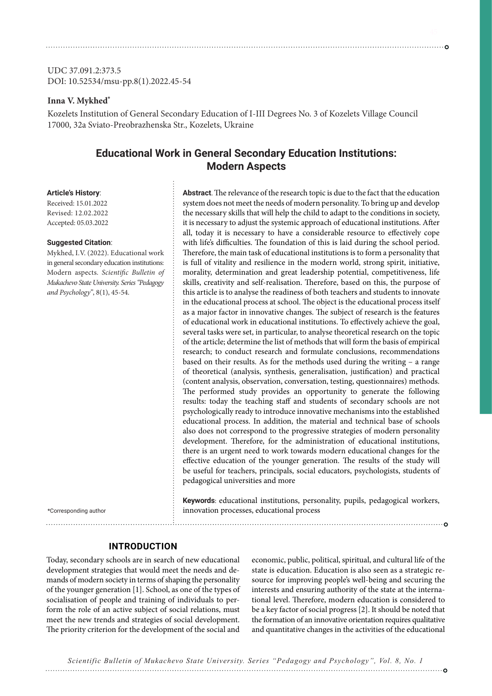UDC 37.091.2:373.5 DOI: 10.52534/msu-pp.8(1).2022.45-54

### **Inna V. Mykhed\***

Kozelets Institution of General Secondary Education of I-III Degrees No. 3 of Kozelets Village Council 17000, 32a Sviato-Preobrazhenska Str., Kozelets, Ukraine

# **Educational Work in General Secondary Education Institutions: Modern Aspects**

#### **Article's History**:

Received: 15.01.2022 Revised: 12.02.2022 Accepted: 05.03.2022

#### **Suggested Citation**:

Mykhed, I.V. (2022). Educational work in general secondary education institutions: Modern aspects. *Scientific Bulletin of Mukachevo State University. Series "Pedagogy and Psychology"*, 8(1), 45-54.

\*Corresponding author

system does not meet the needs of modern personality. To bring up and develop the necessary skills that will help the child to adapt to the conditions in society, it is necessary to adjust the systemic approach of educational institutions. After all, today it is necessary to have a considerable resource to effectively cope with life's difficulties. The foundation of this is laid during the school period. Therefore, the main task of educational institutions is to form a personality that is full of vitality and resilience in the modern world, strong spirit, initiative, morality, determination and great leadership potential, competitiveness, life skills, creativity and self-realisation. Therefore, based on this, the purpose of this article is to analyse the readiness of both teachers and students to innovate in the educational process at school. The object is the educational process itself as a major factor in innovative changes. The subject of research is the features of educational work in educational institutions. To effectively achieve the goal, several tasks were set, in particular, to analyse theoretical research on the topic of the article; determine the list of methods that will form the basis of empirical research; to conduct research and formulate conclusions, recommendations based on their results. As for the methods used during the writing – a range of theoretical (analysis, synthesis, generalisation, justification) and practical (content analysis, observation, conversation, testing, questionnaires) methods. The performed study provides an opportunity to generate the following results: today the teaching staff and students of secondary schools are not psychologically ready to introduce innovative mechanisms into the established educational process. In addition, the material and technical base of schools also does not correspond to the progressive strategies of modern personality development. Therefore, for the administration of educational institutions, there is an urgent need to work towards modern educational changes for the effective education of the younger generation. The results of the study will be useful for teachers, principals, social educators, psychologists, students of pedagogical universities and more

**Abstract**. The relevance of the research topic is due to the fact that the education

**Keywords**: educational institutions, personality, pupils, pedagogical workers, innovation processes, educational process

### **INTRODUCTION**

Today, secondary schools are in search of new educational development strategies that would meet the needs and demands of modern society in terms of shaping the personality of the younger generation [1]. School, as one of the types of socialisation of people and training of individuals to perform the role of an active subject of social relations, must meet the new trends and strategies of social development. The priority criterion for the development of the social and economic, public, political, spiritual, and cultural life of the state is education. Education is also seen as a strategic resource for improving people's well-being and securing the interests and ensuring authority of the state at the international level. Therefore, modern education is considered to be a key factor of social progress [2]. It should be noted that the formation of an innovative orientation requires qualitative and quantitative changes in the activities of the educational

*Scientific Bulletin of Mukachevo State University. Series "Pedagogy and Psychology", Vol. 8, No. 1*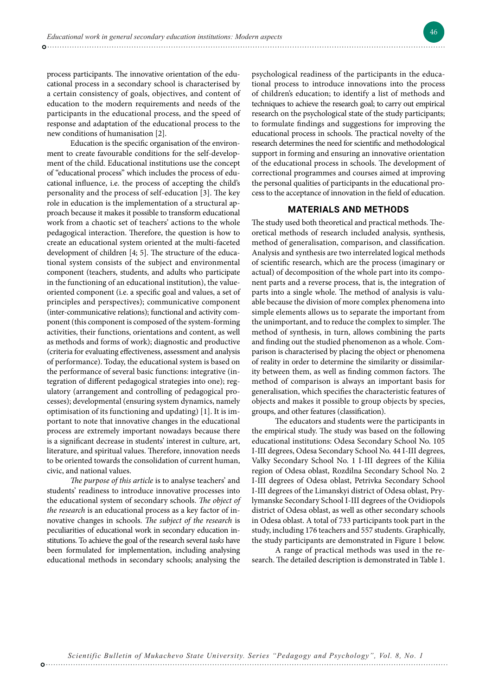process participants. The innovative orientation of the educational process in a secondary school is characterised by a certain consistency of goals, objectives, and content of education to the modern requirements and needs of the participants in the educational process, and the speed of response and adaptation of the educational process to the new conditions of humanisation [2].

Education is the specific organisation of the environment to create favourable conditions for the self-development of the child. Educational institutions use the concept of "educational process" which includes the process of educational influence, i.e. the process of accepting the child's personality and the process of self-education [3]. The key role in education is the implementation of a structural approach because it makes it possible to transform educational work from a chaotic set of teachers' actions to the whole pedagogical interaction. Therefore, the question is how to create an educational system oriented at the multi-faceted development of children [4; 5]. The structure of the educational system consists of the subject and environmental component (teachers, students, and adults who participate in the functioning of an educational institution), the valueoriented component (i.e. a specific goal and values, a set of principles and perspectives); communicative component (inter-communicative relations); functional and activity component (this component is composed of the system-forming activities, their functions, orientations and content, as well as methods and forms of work); diagnostic and productive (criteria for evaluating effectiveness, assessment and analysis of performance). Today, the educational system is based on the performance of several basic functions: integrative (integration of different pedagogical strategies into one); regulatory (arrangement and controlling of pedagogical processes); developmental (ensuring system dynamics, namely optimisation of its functioning and updating) [1]. It is important to note that innovative changes in the educational process are extremely important nowadays because there is a significant decrease in students' interest in culture, art, literature, and spiritual values. Therefore, innovation needs to be oriented towards the consolidation of current human, civic, and national values.

*The purpose of this article* is to analyse teachers' and students' readiness to introduce innovative processes into the educational system of secondary schools. *The object of the research* is an educational process as a key factor of innovative changes in schools. *The subject of the research* is peculiarities of educational work in secondary education institutions. To achieve the goal of the research several *tasks* have been formulated for implementation, including analysing educational methods in secondary schools; analysing the

psychological readiness of the participants in the educational process to introduce innovations into the process of children's education; to identify a list of methods and techniques to achieve the research goal; to carry out empirical research on the psychological state of the study participants; to formulate findings and suggestions for improving the educational process in schools. The practical novelty of the research determines the need for scientific and methodological support in forming and ensuring an innovative orientation of the educational process in schools. The development of correctional programmes and courses aimed at improving the personal qualities of participants in the educational process to the acceptance of innovation in the field of education.

#### **MATERIALS AND METHODS**

The study used both theoretical and practical methods. Theoretical methods of research included analysis, synthesis, method of generalisation, comparison, and classification. Analysis and synthesis are two interrelated logical methods of scientific research, which are the process (imaginary or actual) of decomposition of the whole part into its component parts and a reverse process, that is, the integration of parts into a single whole. The method of analysis is valuable because the division of more complex phenomena into simple elements allows us to separate the important from the unimportant, and to reduce the complex to simpler. The method of synthesis, in turn, allows combining the parts and finding out the studied phenomenon as a whole. Comparison is characterised by placing the object or phenomena of reality in order to determine the similarity or dissimilarity between them, as well as finding common factors. The method of comparison is always an important basis for generalisation, which specifies the characteristic features of objects and makes it possible to group objects by species, groups, and other features (classification).

The educators and students were the participants in the empirical study. The study was based on the following educational institutions: Odesa Secondary School No. 105 I-III degrees, Odesa Secondary School No. 44 I-III degrees, Valky Secondary School No. 1 I-III degrees of the Kiliia region of Odesa oblast, Rozdilna Secondary School No. 2 I-III degrees of Odesa oblast, Petrivka Secondary School I-III degrees of the Limanskyi district of Odesa oblast, Prylymanske Secondary School I-III degrees of the Ovidiopols district of Odesa oblast, as well as other secondary schools in Odesa oblast. A total of 733 participants took part in the study, including 176 teachers and 557 students. Graphically, the study participants are demonstrated in Figure 1 below.

A range of practical methods was used in the research. The detailed description is demonstrated in Table 1.

*Scientific Bulletin of Mukachevo State University. Series "Pedagogy and Psychology", Vol. 8, No. 1*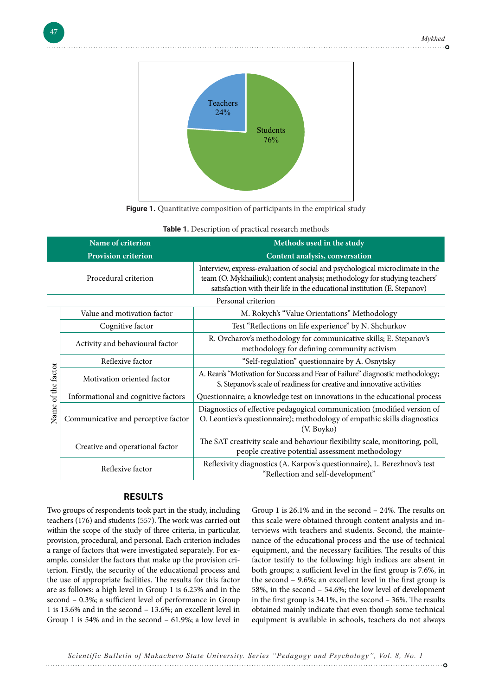

**Figure 1.** Quantitative composition of participants in the empirical study

|                    | Name of criterion<br><b>Provision criterion</b> | Methods used in the study<br>Content analysis, conversation                                                                                                                                                                              |  |  |
|--------------------|-------------------------------------------------|------------------------------------------------------------------------------------------------------------------------------------------------------------------------------------------------------------------------------------------|--|--|
|                    | Procedural criterion                            | Interview, express-evaluation of social and psychological microclimate in the<br>team (O. Mykhailiuk); content analysis; methodology for studying teachers'<br>satisfaction with their life in the educational institution (E. Stepanov) |  |  |
|                    | Personal criterion                              |                                                                                                                                                                                                                                          |  |  |
|                    | Value and motivation factor                     | M. Rokych's "Value Orientations" Methodology                                                                                                                                                                                             |  |  |
|                    | Cognitive factor                                | Test "Reflections on life experience" by N. Shchurkov                                                                                                                                                                                    |  |  |
|                    | Activity and behavioural factor                 | R. Ovcharov's methodology for communicative skills; E. Stepanov's<br>methodology for defining community activism                                                                                                                         |  |  |
|                    | Reflexive factor                                | "Self-regulation" questionnaire by A. Osnytsky                                                                                                                                                                                           |  |  |
| Name of the factor | Motivation oriented factor                      | A. Rean's "Motivation for Success and Fear of Failure" diagnostic methodology;<br>S. Stepanov's scale of readiness for creative and innovative activities                                                                                |  |  |
|                    | Informational and cognitive factors             | Questionnaire; a knowledge test on innovations in the educational process                                                                                                                                                                |  |  |
|                    | Communicative and perceptive factor             | Diagnostics of effective pedagogical communication (modified version of<br>O. Leontiev's questionnaire); methodology of empathic skills diagnostics<br>(V. Boyko)                                                                        |  |  |
|                    | Creative and operational factor                 | The SAT creativity scale and behaviour flexibility scale, monitoring, poll,<br>people creative potential assessment methodology                                                                                                          |  |  |
|                    | Reflexive factor                                | Reflexivity diagnostics (A. Karpov's questionnaire), L. Berezhnov's test<br>"Reflection and self-development"                                                                                                                            |  |  |

#### **RESULTS**

main the scope of the state of three criteria, in particular, the views who provision, procedural, and personal. Each criterion includes hance of the ample, consider the factors that make up the provision criterion. Firstly, the security of the educational process and both groups; a sufficient level in the first group is 7.69 the use of appropriate facilities. The results for this factor the second - 9.6%; an excellent level in the first grou are as follows: a high level in Group 1 is 6.25% and in the  $58\%$ , in the second  $-54.6\%$ ; the low level of developr second – 0.3%; a sufficient level of performance in Group in the first group is  $34.1\%$ , in the second –  $36\%$ . The re teachers (176) and students (557). The work was carried out within the scope of the study of three criteria, in particular, a range of factors that were investigated separately. For ex-1 is 13.6% and in the second – 13.6%; an excellent level in

Two groups of respondents took part in the study, including Group 1 is 26.1% and in the second – 24%. The result perfective product this scale were obtained through content analysis and inreflexive factor (357). The work was carried out this search were obtained unough content unarysis and in security of the educational process and the the education of the results for this factor in the second – 61.9%; a low level in equipment is available in schools, teachers do not always for the second – 61.9%; a low level i are as follows: a high level in the second – 0.15%, a non-term – equipment level and and in second, teachers as not an Group 1 is 26.1% and in the second – 24%. The results on nance of the educational process and the use of technical equipment, and the necessary facilities. The results of this factor testify to the following: high indices are absent in both groups; a sufficient level in the first group is 7.6%, in the second – 9.6%; an excellent level in the first group is 58%, in the second – 54.6%; the low level of development in the first group is 34.1%, in the second – 36%. The results obtained mainly indicate that even though some technical equipment is available in schools, teachers do not always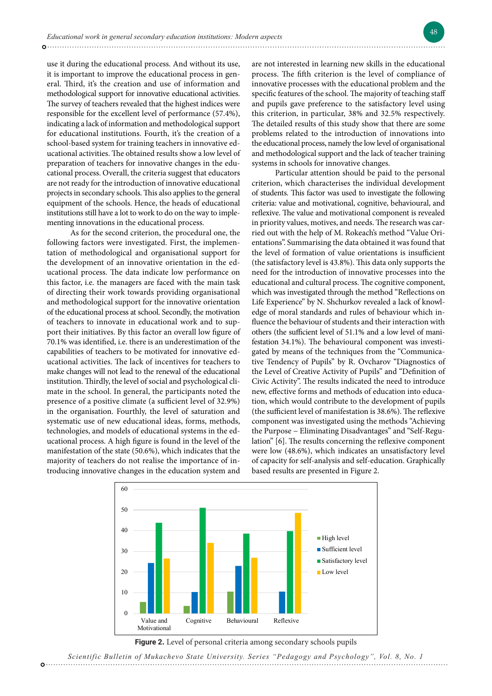use it during the educational process. And without its use, it is important to improve the educational process in general. Third, it's the creation and use of information and methodological support for innovative educational activities. The survey of teachers revealed that the highest indices were responsible for the excellent level of performance (57.4%), indicating a lack of information and methodological support for educational institutions. Fourth, it's the creation of a school-based system for training teachers in innovative educational activities. The obtained results show a low level of preparation of teachers for innovative changes in the educational process. Overall, the criteria suggest that educators are not ready for the introduction of innovative educational projects in secondary schools. This also applies to the general equipment of the schools. Hence, the heads of educational institutions still have a lot to work to do on the way to implementing innovations in the educational process.

As for the second criterion, the procedural one, the following factors were investigated. First, the implementation of methodological and organisational support for the development of an innovative orientation in the educational process. The data indicate low performance on this factor, i.e. the managers are faced with the main task of directing their work towards providing organisational and methodological support for the innovative orientation of the educational process at school. Secondly, the motivation of teachers to innovate in educational work and to support their initiatives. By this factor an overall low figure of 70.1% was identified, i.e. there is an underestimation of the capabilities of teachers to be motivated for innovative educational activities. The lack of incentives for teachers to make changes will not lead to the renewal of the educational institution. Thirdly, the level of social and psychological climate in the school. In general, the participants noted the presence of a positive climate (a sufficient level of 32.9%) in the organisation. Fourthly, the level of saturation and systematic use of new educational ideas, forms, methods, technologies, and models of educational systems in the educational process. A high figure is found in the level of the manifestation of the state (50.6%), which indicates that the majority of teachers do not realise the importance of introducing innovative changes in the education system and

are not interested in learning new skills in the educational process. The fifth criterion is the level of compliance of innovative processes with the educational problem and the specific features of the school. The majority of teaching staff and pupils gave preference to the satisfactory level using this criterion, in particular, 38% and 32.5% respectively. The detailed results of this study show that there are some problems related to the introduction of innovations into the educational process, namely the low level of organisational and methodological support and the lack of teacher training systems in schools for innovative changes.

Particular attention should be paid to the personal criterion, which characterises the individual development of students. This factor was used to investigate the following criteria: value and motivational, cognitive, behavioural, and reflexive. The value and motivational component is revealed in priority values, motives, and needs. The research was carried out with the help of M. Rokeach's method "Value Orientations". Summarising the data obtained it was found that the level of formation of value orientations is insufficient (the satisfactory level is 43.8%). This data only supports the need for the introduction of innovative processes into the educational and cultural process. The cognitive component, which was investigated through the method "Reflections on Life Experience" by N. Shchurkov revealed a lack of knowledge of moral standards and rules of behaviour which influence the behaviour of students and their interaction with others (the sufficient level of 51.1% and a low level of manifestation 34.1%). The behavioural component was investigated by means of the techniques from the "Communicative Tendency of Pupils" by R. Ovcharov "Diagnostics of the Level of Creative Activity of Pupils" and "Definition of Civic Activity". The results indicated the need to introduce new, effective forms and methods of education into education, which would contribute to the development of pupils (the sufficient level of manifestation is 38.6%). The reflexive component was investigated using the methods "Achieving the Purpose − Eliminating Disadvantages" and "Self-Regulation" [6]. The results concerning the reflexive component were low (48.6%), which indicates an unsatisfactory level of capacity for self-analysis and self-education. Graphically based results are presented in Figure 2.



**Figure 2**. Level of personal criteria among secondary schools pupils **Figure 2.** Level of personal criteria among secondary schools pupils

Studying the personal development of pedagogical staff, the results of the research are as *Scientific Bulletin of Mukachevo State University. Series "Pedagogy and Psychology", Vol. 8, No. 1*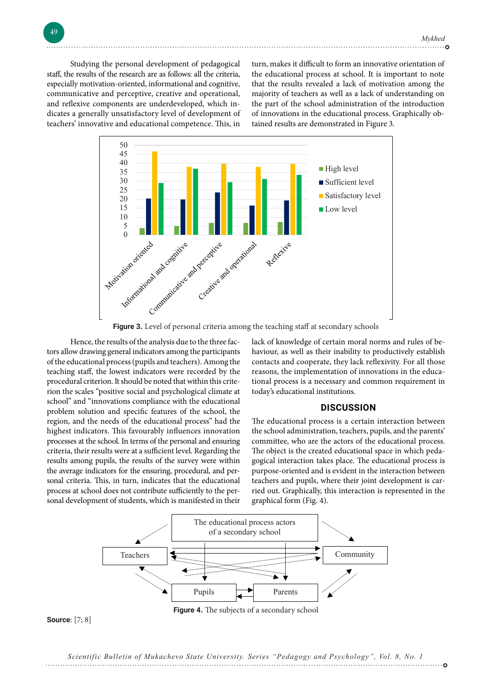Studying the personal development of pedagogical staff, the results of the research are as follows: all the criteria, especially motivation-oriented, informational and cognitive, communicative and perceptive, creative and operational, and reflexive components are underdeveloped, which indicates a generally unsatisfactory level of development of teachers' innovative and educational competence. This, in turn, makes it difficult to form an innovative orientation of the educational process at school. It is important to note that the results revealed a lack of motivation among the majority of teachers as well as a lack of understanding on the part of the school administration of the introduction of innovations in the educational process. Graphically obtained results are demonstrated in Figure 3.



**Figure 3.** Level of personal criteria among the teaching staff at secondary schools **Figure 3.** Level of personal criteria among the teaching staff at secondary schools

of the educational process (pupils and teachers). Among the contacts and cooperate, they lack reflexivity. For all th teaching staff, the lowest indicators were recorded by the reasons, the implementation of innovations in the edu procedural criterion. It should be noted that within this crite-<br>tional process is a necessary and common requiremen rion the scales "positive social and psychological climate at today's educational institutions. school and innovations compilance with the educational problem solution and specific features of the school, the **DISCUSSION** problem solution and specific reatures of the senool, the<br>region, and the needs of the educational process" had the The educational process is a certain interaction betw region, and the recube of the currential process that the the currential process is a cortain interaction cert<br>highest indicators. This favourably influences innovation the school administration, teachers, pupils, and the processes at the school. In terms of the personal and ensuring committee, who are the actors of the educational proc criteria, their results were at a sufficient level. Regarding the The object is the created educational space in which pe results among pupils, the results of the survey were within gogical interaction takes place. The educational proces the average indicators for the ensuring, procedural, and per-<br>
purpose-oriented and is evident in the interaction betw sonal criteria. This, in turn, indicates that the educational teachers and pupils, where their joint development is carprocess at school does not contribute sufficiently to the per-<br>
process at school does not contribute sufficiently to the per-<br>
process at school does not contribute sufficiently to the per-Hence, the results of the analysis due to the three factors allow drawing general indicators among the participants school" and "innovations compliance with the educational sonal criteria. This, in turn, indicates that the educational sonal development of students, which is manifested in their

ow drawing general indicators among the participants haviour, as well as their inability to productively establish lack of knowledge of certain moral norms and rules of becontacts and cooperate, they lack reflexivity. For all those reasons, the implementation of innovations in the educational process is a necessary and common requirement in today's educational institutions.

### **DISCUSSION**

The educational process is a certain interaction between the school administration, teachers, pupils, and the parents' committee, who are the actors of the educational process. The object is the created educational space in which pedagogical interaction takes place. The educational process is purpose-oriented and is evident in the interaction between ried out. Graphically, this interaction is represented in the graphical form (Fig. 4).



**Source**: [7; 8]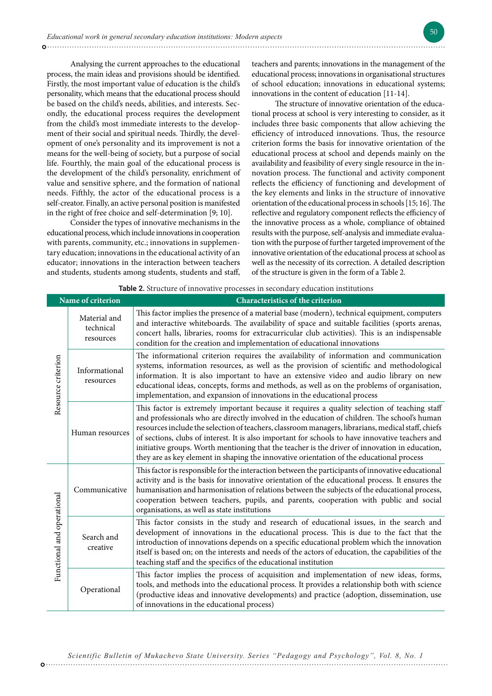Analysing the current approaches to the educational process, the main ideas and provisions should be identified. Firstly, the most important value of education is the child's personality, which means that the educational process should be based on the child's needs, abilities, and interests. Secondly, the educational process requires the development from the child's most immediate interests to the development of their social and spiritual needs. Thirdly, the development of one's personality and its improvement is not a means for the well-being of society, but a purpose of social life. Fourthly, the main goal of the educational process is the development of the child's personality, enrichment of value and sensitive sphere, and the formation of national needs. Fifthly, the actor of the educational process is a self-creator. Finally, an active personal position is manifested in the right of free choice and self-determination [9; 10].

Consider the types of innovative mechanisms in the educational process, which include innovations in cooperation with parents, community, etc.; innovations in supplementary education; innovations in the educational activity of an educator; innovations in the interaction between teachers and students, students among students, students and staff,

teachers and parents; innovations in the management of the educational process; innovations in organisational structures of school education; innovations in educational systems; innovations in the content of education [11-14].

The structure of innovative orientation of the educational process at school is very interesting to consider, as it includes three basic components that allow achieving the efficiency of introduced innovations. Thus, the resource criterion forms the basis for innovative orientation of the educational process at school and depends mainly on the availability and feasibility of every single resource in the innovation process. The functional and activity component reflects the efficiency of functioning and development of the key elements and links in the structure of innovative orientation of the educational process in schools [15; 16]. The reflective and regulatory component reflects the efficiency of the innovative process as a whole, compliance of obtained results with the purpose, self-analysis and immediate evaluation with the purpose of further targeted improvement of the innovative orientation of the educational process at school as well as the necessity of its correction. A detailed description of the structure is given in the form of a Table 2.

| <b>Table 2.</b> Structure of innovative processes in secondary education institutions |                                        |                                                                                                                                                                                                                                                                                                                                                                                                                                                                                                                                                                                                      |  |  |
|---------------------------------------------------------------------------------------|----------------------------------------|------------------------------------------------------------------------------------------------------------------------------------------------------------------------------------------------------------------------------------------------------------------------------------------------------------------------------------------------------------------------------------------------------------------------------------------------------------------------------------------------------------------------------------------------------------------------------------------------------|--|--|
| Name of criterion                                                                     |                                        | <b>Characteristics of the criterion</b>                                                                                                                                                                                                                                                                                                                                                                                                                                                                                                                                                              |  |  |
| Resource criterion                                                                    | Material and<br>technical<br>resources | This factor implies the presence of a material base (modern), technical equipment, computers<br>and interactive whiteboards. The availability of space and suitable facilities (sports arenas,<br>concert halls, libraries, rooms for extracurricular club activities). This is an indispensable<br>condition for the creation and implementation of educational innovations                                                                                                                                                                                                                         |  |  |
|                                                                                       | Informational<br>resources             | The informational criterion requires the availability of information and communication<br>systems, information resources, as well as the provision of scientific and methodological<br>information. It is also important to have an extensive video and audio library on new<br>educational ideas, concepts, forms and methods, as well as on the problems of organisation,<br>implementation, and expansion of innovations in the educational process                                                                                                                                               |  |  |
|                                                                                       | Human resources                        | This factor is extremely important because it requires a quality selection of teaching staff<br>and professionals who are directly involved in the education of children. The school's human<br>resources include the selection of teachers, classroom managers, librarians, medical staff, chiefs<br>of sections, clubs of interest. It is also important for schools to have innovative teachers and<br>initiative groups. Worth mentioning that the teacher is the driver of innovation in education,<br>they are as key element in shaping the innovative orientation of the educational process |  |  |
| Functional and operational                                                            | Communicative                          | This factor is responsible for the interaction between the participants of innovative educational<br>activity and is the basis for innovative orientation of the educational process. It ensures the<br>humanisation and harmonisation of relations between the subjects of the educational process,<br>cooperation between teachers, pupils, and parents, cooperation with public and social<br>organisations, as well as state institutions                                                                                                                                                        |  |  |
|                                                                                       | Search and<br>creative                 | This factor consists in the study and research of educational issues, in the search and<br>development of innovations in the educational process. This is due to the fact that the<br>introduction of innovations depends on a specific educational problem which the innovation<br>itself is based on; on the interests and needs of the actors of education, the capabilities of the<br>teaching staff and the specifics of the educational institution                                                                                                                                            |  |  |
|                                                                                       | Operational                            | This factor implies the process of acquisition and implementation of new ideas, forms,<br>tools, and methods into the educational process. It provides a relationship both with science<br>(productive ideas and innovative developments) and practice (adoption, dissemination, use<br>of innovations in the educational process)                                                                                                                                                                                                                                                                   |  |  |

*Scientific Bulletin of Mukachevo State University. Series "Pedagogy and Psychology", Vol. 8, No. 1*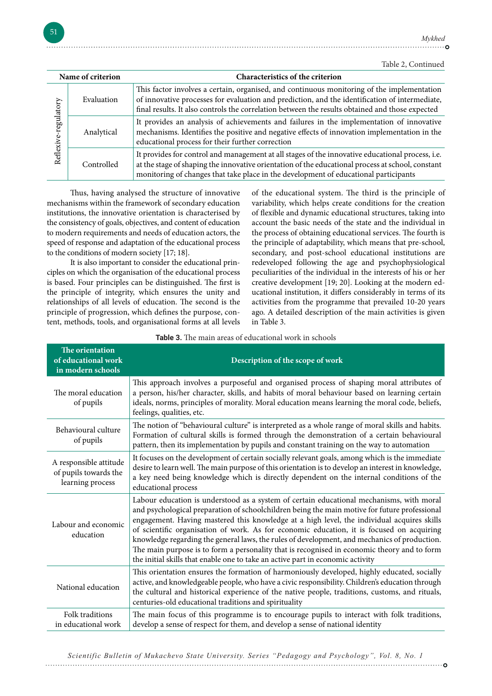. . . . . . . . . . . . . . . . 0

| Name of criterion       |            | Characteristics of the criterion                                                                                                                                                                                                                                                                |
|-------------------------|------------|-------------------------------------------------------------------------------------------------------------------------------------------------------------------------------------------------------------------------------------------------------------------------------------------------|
| regulatory<br>Reflexive | Evaluation | This factor involves a certain, organised, and continuous monitoring of the implementation<br>of innovative processes for evaluation and prediction, and the identification of intermediate,<br>final results. It also controls the correlation between the results obtained and those expected |
|                         | Analytical | It provides an analysis of achievements and failures in the implementation of innovative<br>mechanisms. Identifies the positive and negative effects of innovation implementation in the<br>educational process for their further correction                                                    |
|                         | Controlled | It provides for control and management at all stages of the innovative educational process, i.e.<br>at the stage of shaping the innovative orientation of the educational process at school, constant<br>monitoring of changes that take place in the development of educational participants   |

Thus, having analysed the structure of innovative mechanisms within the framework of secondary education institutions, the innovative orientation is characterised by the consistency of goals, objectives, and content of education to modern requirements and needs of education actors, the speed of response and adaptation of the educational process to the conditions of modern society [17; 18].

It is also important to consider the educational principles on which the organisation of the educational process is based. Four principles can be distinguished. The first is the principle of integrity, which ensures the unity and relationships of all levels of education. The second is the principle of progression, which defines the purpose, content, methods, tools, and organisational forms at all levels of the educational system. The third is the principle of variability, which helps create conditions for the creation of flexible and dynamic educational structures, taking into account the basic needs of the state and the individual in the process of obtaining educational services. The fourth is the principle of adaptability, which means that pre-school, secondary, and post-school educational institutions are redeveloped following the age and psychophysiological peculiarities of the individual in the interests of his or her creative development [19; 20]. Looking at the modern educational institution, it differs considerably in terms of its activities from the programme that prevailed 10-20 years ago. A detailed description of the main activities is given in Table 3.

| The orientation<br>of educational work<br>in modern schools         | Description of the scope of work                                                                                                                                                                                                                                                                                                                                                                                                                                                                                                                                                                                                                                      |
|---------------------------------------------------------------------|-----------------------------------------------------------------------------------------------------------------------------------------------------------------------------------------------------------------------------------------------------------------------------------------------------------------------------------------------------------------------------------------------------------------------------------------------------------------------------------------------------------------------------------------------------------------------------------------------------------------------------------------------------------------------|
| The moral education<br>of pupils                                    | This approach involves a purposeful and organised process of shaping moral attributes of<br>a person, his/her character, skills, and habits of moral behaviour based on learning certain<br>ideals, norms, principles of morality. Moral education means learning the moral code, beliefs,<br>feelings, qualities, etc.                                                                                                                                                                                                                                                                                                                                               |
| Behavioural culture<br>of pupils                                    | The notion of "behavioural culture" is interpreted as a whole range of moral skills and habits.<br>Formation of cultural skills is formed through the demonstration of a certain behavioural<br>pattern, then its implementation by pupils and constant training on the way to automation                                                                                                                                                                                                                                                                                                                                                                             |
| A responsible attitude<br>of pupils towards the<br>learning process | It focuses on the development of certain socially relevant goals, among which is the immediate<br>desire to learn well. The main purpose of this orientation is to develop an interest in knowledge,<br>a key need being knowledge which is directly dependent on the internal conditions of the<br>educational process                                                                                                                                                                                                                                                                                                                                               |
| Labour and economic<br>education                                    | Labour education is understood as a system of certain educational mechanisms, with moral<br>and psychological preparation of schoolchildren being the main motive for future professional<br>engagement. Having mastered this knowledge at a high level, the individual acquires skills<br>of scientific organisation of work. As for economic education, it is focused on acquiring<br>knowledge regarding the general laws, the rules of development, and mechanics of production.<br>The main purpose is to form a personality that is recognised in economic theory and to form<br>the initial skills that enable one to take an active part in economic activity |
| National education                                                  | This orientation ensures the formation of harmoniously developed, highly educated, socially<br>active, and knowledgeable people, who have a civic responsibility. Children's education through<br>the cultural and historical experience of the native people, traditions, customs, and rituals,<br>centuries-old educational traditions and spirituality                                                                                                                                                                                                                                                                                                             |
| Folk traditions<br>in educational work                              | The main focus of this programme is to encourage pupils to interact with folk traditions,<br>develop a sense of respect for them, and develop a sense of national identity                                                                                                                                                                                                                                                                                                                                                                                                                                                                                            |

**Table 3.** The main areas of educational work in schools

*Scientific Bulletin of Mukachevo State University. Series "Pedagogy and Psychology", Vol. 8, No. 1*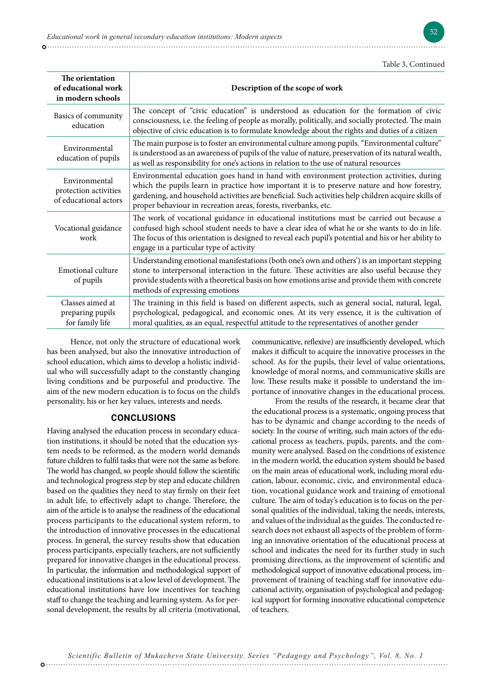| The orientation<br>of educational work<br>in modern schools     | Description of the scope of work                                                                                                                                                                                                                                                                                                                                  |
|-----------------------------------------------------------------|-------------------------------------------------------------------------------------------------------------------------------------------------------------------------------------------------------------------------------------------------------------------------------------------------------------------------------------------------------------------|
| Basics of community<br>education                                | The concept of "civic education" is understood as education for the formation of civic<br>consciousness, i.e. the feeling of people as morally, politically, and socially protected. The main<br>objective of civic education is to formulate knowledge about the rights and duties of a citizen                                                                  |
| Environmental<br>education of pupils                            | The main purpose is to foster an environmental culture among pupils. "Environmental culture"<br>is understood as an awareness of pupils of the value of nature, preservation of its natural wealth,<br>as well as responsibility for one's actions in relation to the use of natural resources                                                                    |
| Environmental<br>protection activities<br>of educational actors | Environmental education goes hand in hand with environment protection activities, during<br>which the pupils learn in practice how important it is to preserve nature and how forestry,<br>gardening, and household activities are beneficial. Such activities help children acquire skills of<br>proper behaviour in recreation areas, forests, riverbanks, etc. |
| Vocational guidance<br>work                                     | The work of vocational guidance in educational institutions must be carried out because a<br>confused high school student needs to have a clear idea of what he or she wants to do in life.<br>The focus of this orientation is designed to reveal each pupil's potential and his or her ability to<br>engage in a particular type of activity                    |
| Emotional culture<br>of pupils                                  | Understanding emotional manifestations (both one's own and others') is an important stepping<br>stone to interpersonal interaction in the future. These activities are also useful because they<br>provide students with a theoretical basis on how emotions arise and provide them with concrete<br>methods of expressing emotions                               |
| Classes aimed at<br>preparing pupils<br>for family life         | The training in this field is based on different aspects, such as general social, natural, legal,<br>psychological, pedagogical, and economic ones. At its very essence, it is the cultivation of<br>moral qualities, as an equal, respectful attitude to the representatives of another gender                                                                   |

Hence, not only the structure of educational work has been analysed, but also the innovative introduction of school education, which aims to develop a holistic individual who will successfully adapt to the constantly changing living conditions and be purposeful and productive. The aim of the new modern education is to focus on the child's personality, his or her key values, interests and needs.

### **CONCLUSIONS**

Having analysed the education process in secondary education institutions, it should be noted that the education system needs to be reformed, as the modern world demands future children to fulfil tasks that were not the same as before. The world has changed, so people should follow the scientific and technological progress step by step and educate children based on the qualities they need to stay firmly on their feet in adult life, to effectively adapt to change. Therefore, the aim of the article is to analyse the readiness of the educational process participants to the educational system reform, to the introduction of innovative processes in the educational process. In general, the survey results show that education process participants, especially teachers, are not sufficiently prepared for innovative changes in the educational process. In particular, the information and methodological support of educational institutions is at a low level of development. The educational institutions have low incentives for teaching staff to change the teaching and learning system. As for personal development, the results by all criteria (motivational,

communicative, reflexive) are insufficiently developed, which makes it difficult to acquire the innovative processes in the school. As for the pupils, their level of value orientations, knowledge of moral norms, and communicative skills are low. These results make it possible to understand the importance of innovative changes in the educational process.

From the results of the research, it became clear that the educational process is a systematic, ongoing process that has to be dynamic and change according to the needs of society. In the course of writing, such main actors of the educational process as teachers, pupils, parents, and the community were analysed. Based on the conditions of existence in the modern world, the education system should be based on the main areas of educational work, including moral education, labour, economic, civic, and environmental education, vocational guidance work and training of emotional culture. The aim of today's education is to focus on the personal qualities of the individual, taking the needs, interests, and values of the individual as the guides. The conducted research does not exhaust all aspects of the problem of forming an innovative orientation of the educational process at school and indicates the need for its further study in such promising directions, as the improvement of scientific and methodological support of innovative educational process, improvement of training of teaching staff for innovative educational activity, organisation of psychological and pedagogical support for forming innovative educational competence of teachers.

*Scientific Bulletin of Mukachevo State University. Series "Pedagogy and Psychology", Vol. 8, No. 1*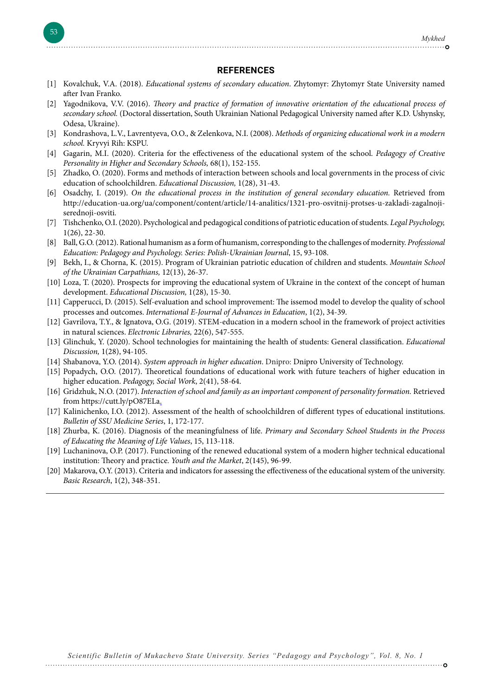#### **REFERENCES**

- [1] Kovalchuk, V.A. (2018). *Educational systems of secondary education*. Zhytomyr: Zhytomyr State University named after Ivan Franko.
- [2] Yagodnikova, V.V. (2016). *Theory and practice of formation of innovative orientation of the educational process of secondary school.* (Doctoral dissertation, South Ukrainian National Pedagogical University named after K.D. Ushynsky, Odesa, Ukraine).
- [3] Kondrashova, L.V., Lavrentyeva, O.O., & Zelenkova, N.I. (2008). *Methods of organizing educational work in a modern school.* Kryvyi Rih: KSPU.
- [4] Gagarin, M.I. (2020). Criteria for the effectiveness of the educational system of the school. *Pedagogy of Creative Personality in Higher and Secondary Schools,* 68(1), 152-155.
- [5] Zhadko, O. (2020). Forms and methods of interaction between schools and local governments in the process of civic education of schoolchildren. *Educational Discussion,* 1(28), 31-43.
- [6] Osadchy, I. (2019). *On the educational process in the institution of general secondary education.* Retrieved from http://education-ua.org/ua/component/content/article/14-analitics/1321-pro-osvitnij-protses-u-zakladi-zagalnojiserednoji-osviti.
- [7] Tishchenko, O.I. (2020). Psychological and pedagogical conditions of patriotic education of students. *Legal Psychology,*  1(26), 22-30.
- [8] Ball, G.O. (2012). Rational humanism as a form of humanism, corresponding to the challenges of modernity. *Professional Education: Pedagogy and Psychology. Series: Polish-Ukrainian Journal*, 15, 93-108.
- [9] Bekh, I., & Chorna, K. (2015). Program of Ukrainian patriotic education of children and students. *Mountain School of the Ukrainian Carpathians,* 12(13), 26-37.
- [10] Loza, T. (2020). Prospects for improving the educational system of Ukraine in the context of the concept of human development. *Educational Discussion,* 1(28), 15-30.
- [11] Capperucci, D. (2015). Self-evaluation and school improvement: The issemod model to develop the quality of school processes and outcomes. *International E-Journal of Advances in Education*, 1(2), 34-39.
- [12] Gavrilova, T.Y., & Ignatova, O.G. (2019). STEM-education in a modern school in the framework of project activities in natural sciences. *Electronic Libraries,* 22(6), 547-555.
- [13] Glinchuk, Y. (2020). School technologies for maintaining the health of students: General classification. *Educational Discussion,* 1(28), 94-105.
- [14] Shabanova, Y.O. (2014). *System approach in higher education*. Dnipro: Dnipro University of Technology.
- [15] Popadych, O.O. (2017). Theoretical foundations of educational work with future teachers of higher education in higher education. *Pedagogy, Social Work*, 2(41), 58-64.
- [16] Gridzhuk, N.O. (2017). *Interaction of school and family as an important component of personality formation.* Retrieved from https://cutt.ly/pO87ELa.
- [17] Kalinichenko, I.O. (2012). Assessment of the health of schoolchildren of different types of educational institutions. *Bulletin of SSU Medicine Series*, 1, 172-177.
- [18] Zhurba, K. (2016). Diagnosis of the meaningfulness of life. *Primary and Secondary School Students in the Process of Educating the Meaning of Life Values*, 15, 113-118.
- [19] Luchaninova, O.P. (2017). Functioning of the renewed educational system of a modern higher technical educational institution: Theory and practice. *Youth and the Market*, 2(145), 96-99.
- [20] Makarova, O.Y. (2013). Criteria and indicators for assessing the effectiveness of the educational system of the university. *Basic Research*, 1(2), 348-351.